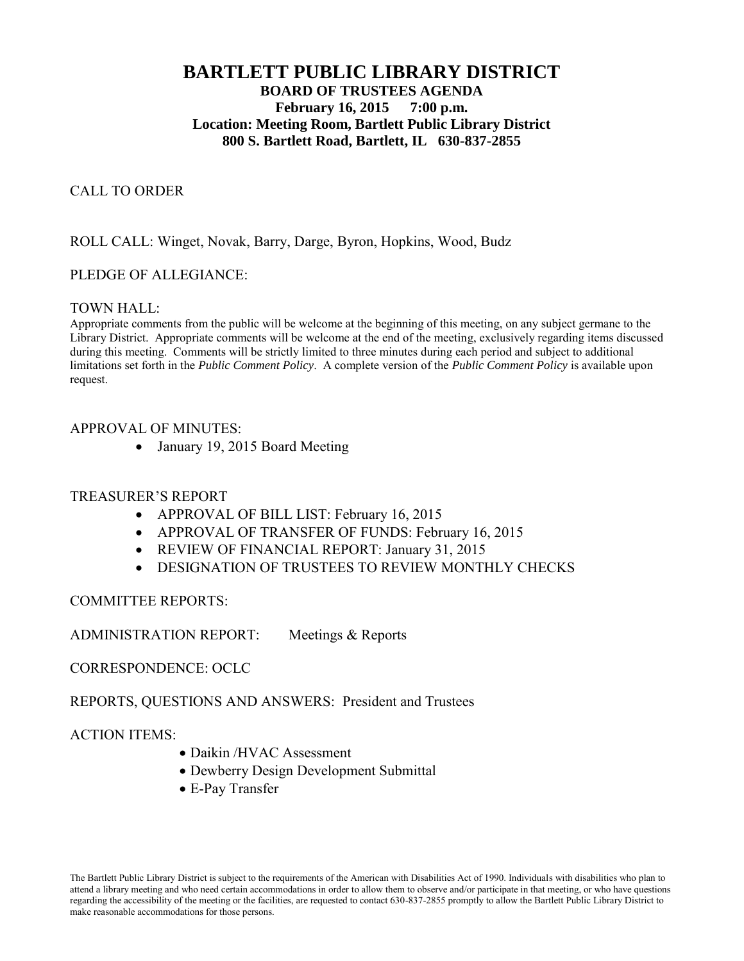# **BARTLETT PUBLIC LIBRARY DISTRICT BOARD OF TRUSTEES AGENDA February 16, 2015 7:00 p.m. Location: Meeting Room, Bartlett Public Library District 800 S. Bartlett Road, Bartlett, IL 630-837-2855**

### CALL TO ORDER

### ROLL CALL: Winget, Novak, Barry, Darge, Byron, Hopkins, Wood, Budz

### PLEDGE OF ALLEGIANCE:

### TOWN HALL:

Appropriate comments from the public will be welcome at the beginning of this meeting, on any subject germane to the Library District. Appropriate comments will be welcome at the end of the meeting, exclusively regarding items discussed during this meeting. Comments will be strictly limited to three minutes during each period and subject to additional limitations set forth in the *Public Comment Policy*. A complete version of the *Public Comment Policy* is available upon request.

### APPROVAL OF MINUTES:

• January 19, 2015 Board Meeting

### TREASURER'S REPORT

- APPROVAL OF BILL LIST: February 16, 2015
- APPROVAL OF TRANSFER OF FUNDS: February 16, 2015
- REVIEW OF FINANCIAL REPORT: January 31, 2015
- DESIGNATION OF TRUSTEES TO REVIEW MONTHLY CHECKS

### COMMITTEE REPORTS:

ADMINISTRATION REPORT: Meetings & Reports

CORRESPONDENCE: OCLC

REPORTS, QUESTIONS AND ANSWERS: President and Trustees

ACTION ITEMS:

- Daikin /HVAC Assessment
- Dewberry Design Development Submittal
- E-Pay Transfer